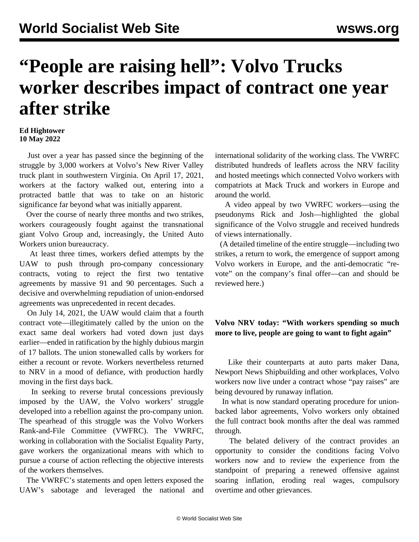## **"People are raising hell": Volvo Trucks worker describes impact of contract one year after strike**

## **Ed Hightower 10 May 2022**

 Just over a year has passed since the beginning of the struggle by 3,000 workers at Volvo's New River Valley truck plant in southwestern Virginia. On April 17, 2021, workers at the factory walked out, entering into a protracted battle that was to take on an historic significance far beyond what was initially apparent.

 Over the course of nearly three months and two strikes, workers courageously fought against the transnational giant Volvo Group and, increasingly, the United Auto Workers union bureaucracy.

 At least three times, workers defied attempts by the UAW to push through pro-company concessionary contracts, voting to reject the first two tentative agreements by massive 91 and 90 percentages. Such a decisive and overwhelming repudiation of union-endorsed agreements was unprecedented in recent decades.

 On July 14, 2021, the UAW would claim that a fourth contract vote—illegitimately called by the union on the exact same deal workers had voted down just days earlier—ended in ratification by the highly dubious margin of 17 ballots. The union stonewalled calls by workers for either a recount or revote. Workers nevertheless returned to NRV in a mood of defiance, with production hardly moving in the first days back.

 In seeking to reverse brutal concessions previously imposed by the UAW, the Volvo workers' struggle developed into a rebellion against the pro-company union. The spearhead of this struggle was the Volvo Workers Rank-and-File Committee (VWFRC). The VWRFC, working in collaboration with the Socialist Equality Party, gave workers the organizational means with which to pursue a course of action reflecting the objective interests of the workers themselves.

 The VWRFC's [statements](/en/articles/2021/05/02/volv-m01.html) and [open letters](/en/articles/2021/05/21/vrfc-m21.html) exposed the UAW's sabotage and leveraged the national and international solidarity of the working class. The VWRFC distributed hundreds of leaflets across the NRV facility and hosted meetings which connected Volvo workers with compatriots at Mack Truck and workers in Europe and around the world.

 A [video](https://www.youtube.com/watch?v=7YXEZv74MKI) appeal by two VWRFC workers—using the pseudonyms Rick and Josh—highlighted the global significance of the Volvo struggle and received hundreds of views internationally.

 (A detailed timeline of the entire struggle—including two strikes, a return to work, the emergence of support among Volvo workers in Europe, and the anti-democratic "revote" on the company's final offer—can and should be reviewed [here](/en/articles/2021/09/13/volv-s13.html).)

## **Volvo NRV today: "With workers spending so much more to live, people are going to want to fight again"**

 Like their counterparts at auto parts maker [Dana,](/en/articles/2022/04/14/dana-a14.html) Newport News Shipbuilding and other workplaces, Volvo workers now live under a contract whose "pay raises" are being devoured by runaway inflation.

 In what is now standard operating procedure for unionbacked labor agreements, Volvo workers only obtained the full contract book months after the deal was rammed through.

 The belated delivery of the contract provides an opportunity to consider the conditions facing Volvo workers now and to review the experience from the standpoint of preparing a renewed offensive against soaring inflation, eroding real wages, compulsory overtime and other grievances.